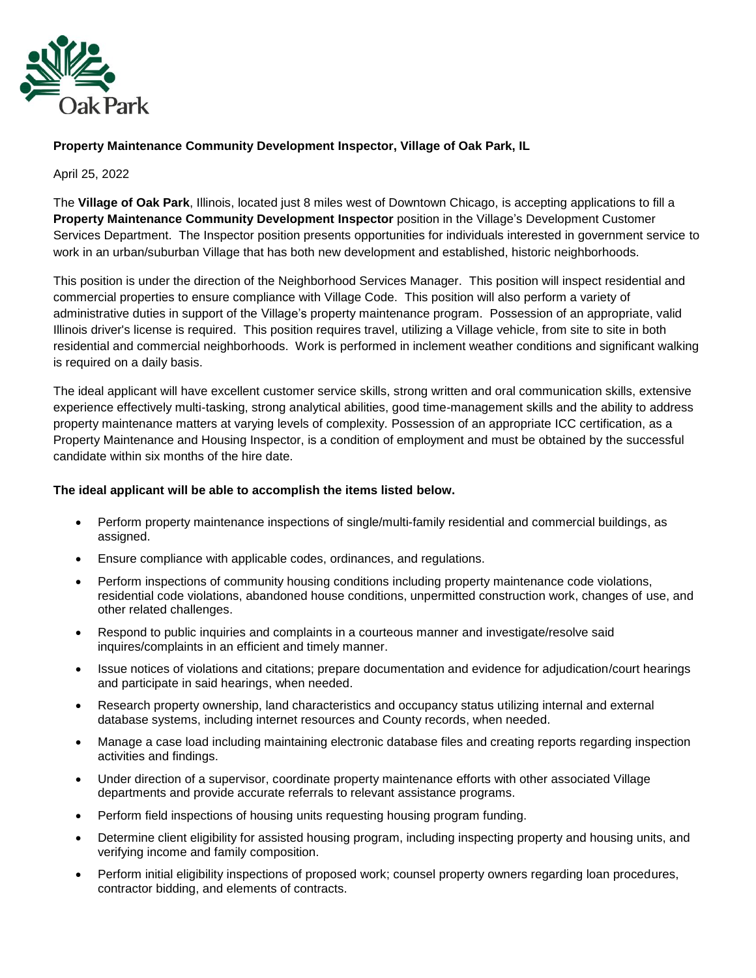

## **Property Maintenance Community Development Inspector, Village of Oak Park, IL**

April 25, 2022

The **Village of Oak Park**, Illinois, located just 8 miles west of Downtown Chicago, is accepting applications to fill a **Property Maintenance Community Development Inspector** position in the Village's Development Customer Services Department. The Inspector position presents opportunities for individuals interested in government service to work in an urban/suburban Village that has both new development and established, historic neighborhoods.

This position is under the direction of the Neighborhood Services Manager. This position will inspect residential and commercial properties to ensure compliance with Village Code. This position will also perform a variety of administrative duties in support of the Village's property maintenance program. Possession of an appropriate, valid Illinois driver's license is required. This position requires travel, utilizing a Village vehicle, from site to site in both residential and commercial neighborhoods. Work is performed in inclement weather conditions and significant walking is required on a daily basis.

The ideal applicant will have excellent customer service skills, strong written and oral communication skills, extensive experience effectively multi-tasking, strong analytical abilities, good time-management skills and the ability to address property maintenance matters at varying levels of complexity. Possession of an appropriate ICC certification, as a Property Maintenance and Housing Inspector, is a condition of employment and must be obtained by the successful candidate within six months of the hire date.

## **The ideal applicant will be able to accomplish the items listed below.**

- Perform property maintenance inspections of single/multi-family residential and commercial buildings, as assigned.
- Ensure compliance with applicable codes, ordinances, and regulations.
- Perform inspections of community housing conditions including property maintenance code violations, residential code violations, abandoned house conditions, unpermitted construction work, changes of use, and other related challenges.
- Respond to public inquiries and complaints in a courteous manner and investigate/resolve said inquires/complaints in an efficient and timely manner.
- Issue notices of violations and citations; prepare documentation and evidence for adjudication/court hearings and participate in said hearings, when needed.
- Research property ownership, land characteristics and occupancy status utilizing internal and external database systems, including internet resources and County records, when needed.
- Manage a case load including maintaining electronic database files and creating reports regarding inspection activities and findings.
- Under direction of a supervisor, coordinate property maintenance efforts with other associated Village departments and provide accurate referrals to relevant assistance programs.
- Perform field inspections of housing units requesting housing program funding.
- Determine client eligibility for assisted housing program, including inspecting property and housing units, and verifying income and family composition.
- Perform initial eligibility inspections of proposed work; counsel property owners regarding loan procedures, contractor bidding, and elements of contracts.